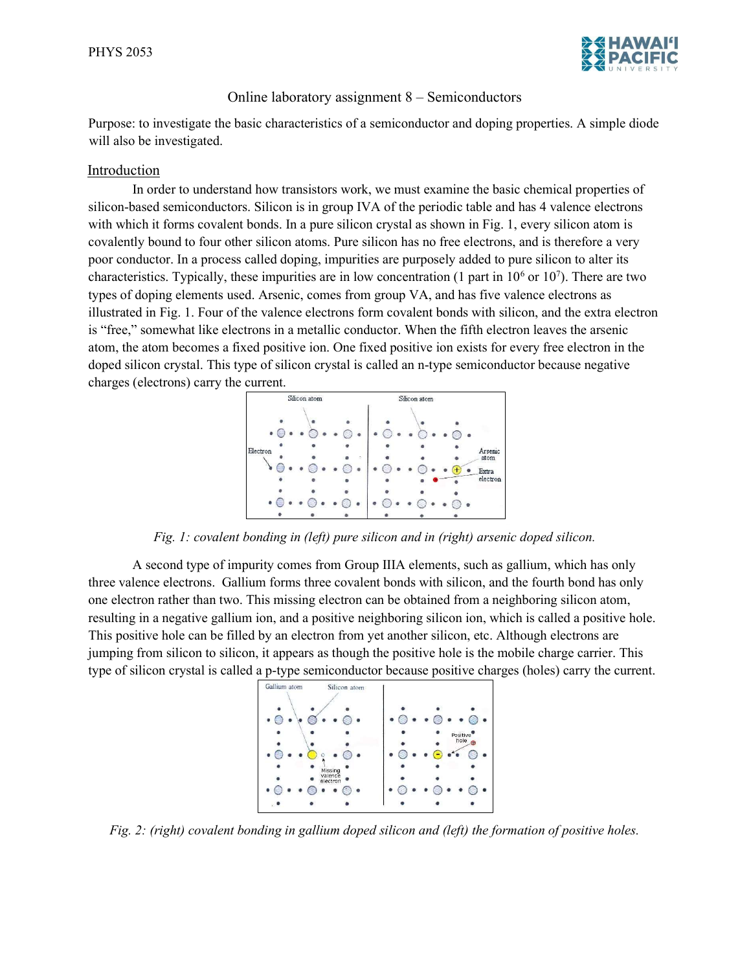

## Online laboratory assignment 8 – Semiconductors

Purpose: to investigate the basic characteristics of a semiconductor and doping properties. A simple diode will also be investigated.

## Introduction

In order to understand how transistors work, we must examine the basic chemical properties of silicon-based semiconductors. Silicon is in group IVA of the periodic table and has 4 valence electrons with which it forms covalent bonds. In a pure silicon crystal as shown in Fig. 1, every silicon atom is covalently bound to four other silicon atoms. Pure silicon has no free electrons, and is therefore a very poor conductor. In a process called doping, impurities are purposely added to pure silicon to alter its characteristics. Typically, these impurities are in low concentration (1 part in  $10^6$  or  $10^7$ ). There are two types of doping elements used. Arsenic, comes from group VA, and has five valence electrons as illustrated in Fig. 1. Four of the valence electrons form covalent bonds with silicon, and the extra electron is "free," somewhat like electrons in a metallic conductor. When the fifth electron leaves the arsenic atom, the atom becomes a fixed positive ion. One fixed positive ion exists for every free electron in the doped silicon crystal. This type of silicon crystal is called an n-type semiconductor because negative charges (electrons) carry the current.



Fig. 1: covalent bonding in (left) pure silicon and in (right) arsenic doped silicon.

A second type of impurity comes from Group IIIA elements, such as gallium, which has only three valence electrons. Gallium forms three covalent bonds with silicon, and the fourth bond has only one electron rather than two. This missing electron can be obtained from a neighboring silicon atom, resulting in a negative gallium ion, and a positive neighboring silicon ion, which is called a positive hole. This positive hole can be filled by an electron from yet another silicon, etc. Although electrons are jumping from silicon to silicon, it appears as though the positive hole is the mobile charge carrier. This type of silicon crystal is called a p-type semiconductor because positive charges (holes) carry the current.

| Gallium atom | Silicon atom                   |  |                                           |
|--------------|--------------------------------|--|-------------------------------------------|
|              |                                |  |                                           |
|              |                                |  | Positive <sup>®</sup><br>hole<br>$\oplus$ |
|              |                                |  |                                           |
|              | Missing<br>valence<br>electron |  |                                           |
|              |                                |  |                                           |

Fig. 2: (right) covalent bonding in gallium doped silicon and (left) the formation of positive holes.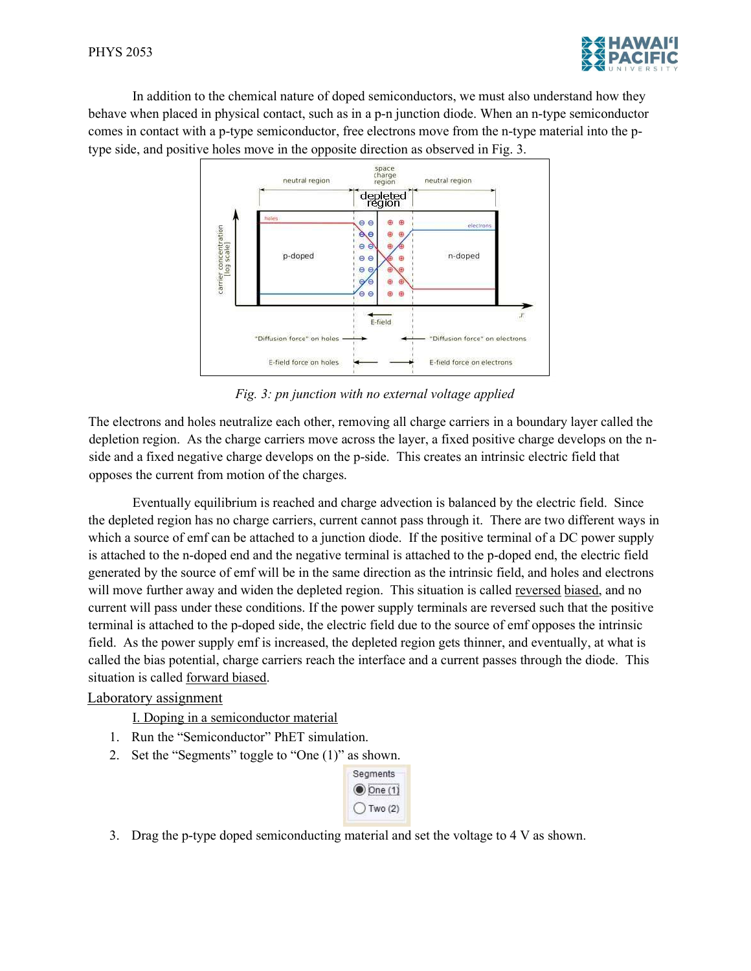

In addition to the chemical nature of doped semiconductors, we must also understand how they behave when placed in physical contact, such as in a p-n junction diode. When an n-type semiconductor comes in contact with a p-type semiconductor, free electrons move from the n-type material into the ptype side, and positive holes move in the opposite direction as observed in Fig. 3.



Fig. 3: pn junction with no external voltage applied

The electrons and holes neutralize each other, removing all charge carriers in a boundary layer called the depletion region. As the charge carriers move across the layer, a fixed positive charge develops on the nside and a fixed negative charge develops on the p-side. This creates an intrinsic electric field that opposes the current from motion of the charges.

Eventually equilibrium is reached and charge advection is balanced by the electric field. Since the depleted region has no charge carriers, current cannot pass through it. There are two different ways in which a source of emf can be attached to a junction diode. If the positive terminal of a DC power supply is attached to the n-doped end and the negative terminal is attached to the p-doped end, the electric field generated by the source of emf will be in the same direction as the intrinsic field, and holes and electrons will move further away and widen the depleted region. This situation is called reversed biased, and no current will pass under these conditions. If the power supply terminals are reversed such that the positive terminal is attached to the p-doped side, the electric field due to the source of emf opposes the intrinsic field. As the power supply emf is increased, the depleted region gets thinner, and eventually, at what is called the bias potential, charge carriers reach the interface and a current passes through the diode. This situation is called forward biased.

## Laboratory assignment

- I. Doping in a semiconductor material
- 1. Run the "Semiconductor" PhET simulation.
- 2. Set the "Segments" toggle to "One (1)" as shown.



3. Drag the p-type doped semiconducting material and set the voltage to 4 V as shown.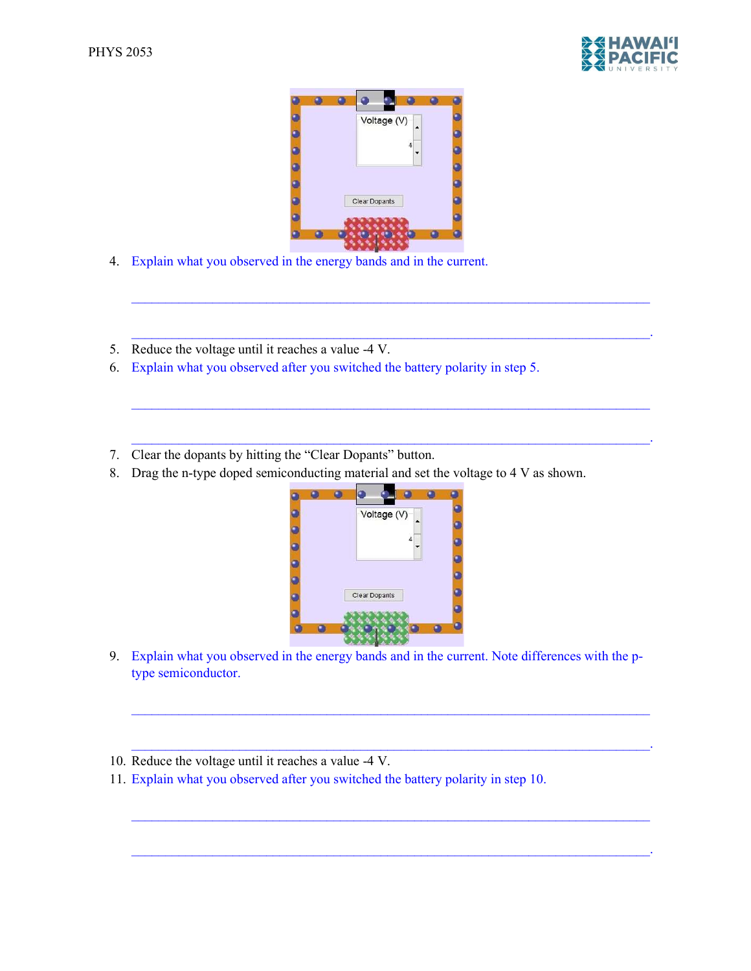



 $\mathcal{L}_\mathcal{L} = \{ \mathcal{L}_\mathcal{L} = \{ \mathcal{L}_\mathcal{L} = \{ \mathcal{L}_\mathcal{L} = \{ \mathcal{L}_\mathcal{L} = \{ \mathcal{L}_\mathcal{L} = \{ \mathcal{L}_\mathcal{L} = \{ \mathcal{L}_\mathcal{L} = \{ \mathcal{L}_\mathcal{L} = \{ \mathcal{L}_\mathcal{L} = \{ \mathcal{L}_\mathcal{L} = \{ \mathcal{L}_\mathcal{L} = \{ \mathcal{L}_\mathcal{L} = \{ \mathcal{L}_\mathcal{L} = \{ \mathcal{L}_\mathcal{$ 

 $\mathcal{L}_\mathcal{L} = \mathcal{L}_\mathcal{L} = \mathcal{L}_\mathcal{L} = \mathcal{L}_\mathcal{L} = \mathcal{L}_\mathcal{L} = \mathcal{L}_\mathcal{L} = \mathcal{L}_\mathcal{L} = \mathcal{L}_\mathcal{L} = \mathcal{L}_\mathcal{L} = \mathcal{L}_\mathcal{L} = \mathcal{L}_\mathcal{L} = \mathcal{L}_\mathcal{L} = \mathcal{L}_\mathcal{L} = \mathcal{L}_\mathcal{L} = \mathcal{L}_\mathcal{L} = \mathcal{L}_\mathcal{L} = \mathcal{L}_\mathcal{L}$ 

 $\mathcal{L}_\mathcal{L} = \{ \mathcal{L}_\mathcal{L} = \{ \mathcal{L}_\mathcal{L} = \{ \mathcal{L}_\mathcal{L} = \{ \mathcal{L}_\mathcal{L} = \{ \mathcal{L}_\mathcal{L} = \{ \mathcal{L}_\mathcal{L} = \{ \mathcal{L}_\mathcal{L} = \{ \mathcal{L}_\mathcal{L} = \{ \mathcal{L}_\mathcal{L} = \{ \mathcal{L}_\mathcal{L} = \{ \mathcal{L}_\mathcal{L} = \{ \mathcal{L}_\mathcal{L} = \{ \mathcal{L}_\mathcal{L} = \{ \mathcal{L}_\mathcal{$ 

 $\mathcal{L}_\mathcal{L} = \mathcal{L}_\mathcal{L} = \mathcal{L}_\mathcal{L} = \mathcal{L}_\mathcal{L} = \mathcal{L}_\mathcal{L} = \mathcal{L}_\mathcal{L} = \mathcal{L}_\mathcal{L} = \mathcal{L}_\mathcal{L} = \mathcal{L}_\mathcal{L} = \mathcal{L}_\mathcal{L} = \mathcal{L}_\mathcal{L} = \mathcal{L}_\mathcal{L} = \mathcal{L}_\mathcal{L} = \mathcal{L}_\mathcal{L} = \mathcal{L}_\mathcal{L} = \mathcal{L}_\mathcal{L} = \mathcal{L}_\mathcal{L}$ 

- 4. Explain what you observed in the energy bands and in the current.
- 5. Reduce the voltage until it reaches a value -4 V.
- 6. Explain what you observed after you switched the battery polarity in step 5.
- 7. Clear the dopants by hitting the "Clear Dopants" button.
- 8. Drag the n-type doped semiconducting material and set the voltage to 4 V as shown.



9. Explain what you observed in the energy bands and in the current. Note differences with the ptype semiconductor.

 $\mathcal{L}_\mathcal{L} = \{ \mathcal{L}_\mathcal{L} = \{ \mathcal{L}_\mathcal{L} = \{ \mathcal{L}_\mathcal{L} = \{ \mathcal{L}_\mathcal{L} = \{ \mathcal{L}_\mathcal{L} = \{ \mathcal{L}_\mathcal{L} = \{ \mathcal{L}_\mathcal{L} = \{ \mathcal{L}_\mathcal{L} = \{ \mathcal{L}_\mathcal{L} = \{ \mathcal{L}_\mathcal{L} = \{ \mathcal{L}_\mathcal{L} = \{ \mathcal{L}_\mathcal{L} = \{ \mathcal{L}_\mathcal{L} = \{ \mathcal{L}_\mathcal{$ 

 $\mathcal{L}_\mathcal{L} = \mathcal{L}_\mathcal{L} = \mathcal{L}_\mathcal{L} = \mathcal{L}_\mathcal{L} = \mathcal{L}_\mathcal{L} = \mathcal{L}_\mathcal{L} = \mathcal{L}_\mathcal{L} = \mathcal{L}_\mathcal{L} = \mathcal{L}_\mathcal{L} = \mathcal{L}_\mathcal{L} = \mathcal{L}_\mathcal{L} = \mathcal{L}_\mathcal{L} = \mathcal{L}_\mathcal{L} = \mathcal{L}_\mathcal{L} = \mathcal{L}_\mathcal{L} = \mathcal{L}_\mathcal{L} = \mathcal{L}_\mathcal{L}$ 

 $\mathcal{L}_\mathcal{L} = \mathcal{L}_\mathcal{L} = \mathcal{L}_\mathcal{L} = \mathcal{L}_\mathcal{L} = \mathcal{L}_\mathcal{L} = \mathcal{L}_\mathcal{L} = \mathcal{L}_\mathcal{L} = \mathcal{L}_\mathcal{L} = \mathcal{L}_\mathcal{L} = \mathcal{L}_\mathcal{L} = \mathcal{L}_\mathcal{L} = \mathcal{L}_\mathcal{L} = \mathcal{L}_\mathcal{L} = \mathcal{L}_\mathcal{L} = \mathcal{L}_\mathcal{L} = \mathcal{L}_\mathcal{L} = \mathcal{L}_\mathcal{L}$ 

 $\mathcal{L}_\mathcal{L} = \mathcal{L}_\mathcal{L} = \mathcal{L}_\mathcal{L} = \mathcal{L}_\mathcal{L} = \mathcal{L}_\mathcal{L} = \mathcal{L}_\mathcal{L} = \mathcal{L}_\mathcal{L} = \mathcal{L}_\mathcal{L} = \mathcal{L}_\mathcal{L} = \mathcal{L}_\mathcal{L} = \mathcal{L}_\mathcal{L} = \mathcal{L}_\mathcal{L} = \mathcal{L}_\mathcal{L} = \mathcal{L}_\mathcal{L} = \mathcal{L}_\mathcal{L} = \mathcal{L}_\mathcal{L} = \mathcal{L}_\mathcal{L}$ 

- 10. Reduce the voltage until it reaches a value -4 V.
- 11. Explain what you observed after you switched the battery polarity in step 10.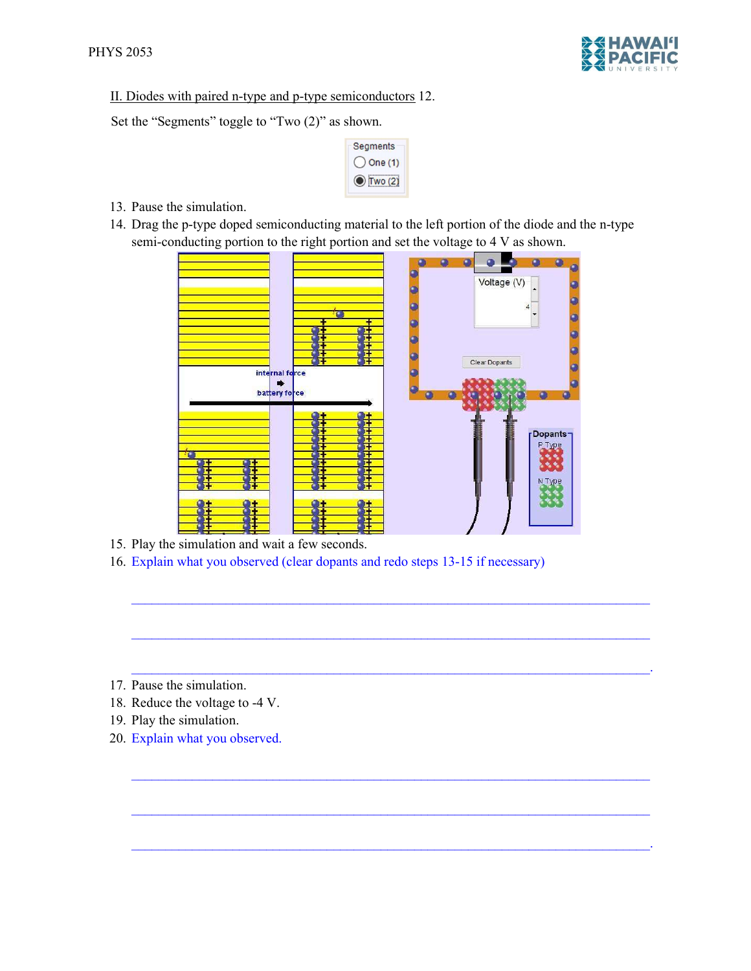

II. Diodes with paired n-type and p-type semiconductors 12.

Set the "Segments" toggle to "Two (2)" as shown.



- 13. Pause the simulation.
- 14. Drag the p-type doped semiconducting material to the left portion of the diode and the n-type semi-conducting portion to the right portion and set the voltage to 4 V as shown.



 $\mathcal{L}_\mathcal{L} = \{ \mathcal{L}_\mathcal{L} = \{ \mathcal{L}_\mathcal{L} = \{ \mathcal{L}_\mathcal{L} = \{ \mathcal{L}_\mathcal{L} = \{ \mathcal{L}_\mathcal{L} = \{ \mathcal{L}_\mathcal{L} = \{ \mathcal{L}_\mathcal{L} = \{ \mathcal{L}_\mathcal{L} = \{ \mathcal{L}_\mathcal{L} = \{ \mathcal{L}_\mathcal{L} = \{ \mathcal{L}_\mathcal{L} = \{ \mathcal{L}_\mathcal{L} = \{ \mathcal{L}_\mathcal{L} = \{ \mathcal{L}_\mathcal{$ 

 $\mathcal{L}_\mathcal{L} = \{ \mathcal{L}_\mathcal{L} = \{ \mathcal{L}_\mathcal{L} = \{ \mathcal{L}_\mathcal{L} = \{ \mathcal{L}_\mathcal{L} = \{ \mathcal{L}_\mathcal{L} = \{ \mathcal{L}_\mathcal{L} = \{ \mathcal{L}_\mathcal{L} = \{ \mathcal{L}_\mathcal{L} = \{ \mathcal{L}_\mathcal{L} = \{ \mathcal{L}_\mathcal{L} = \{ \mathcal{L}_\mathcal{L} = \{ \mathcal{L}_\mathcal{L} = \{ \mathcal{L}_\mathcal{L} = \{ \mathcal{L}_\mathcal{$ 

 $\mathcal{L}_\mathcal{L} = \mathcal{L}_\mathcal{L} = \mathcal{L}_\mathcal{L} = \mathcal{L}_\mathcal{L} = \mathcal{L}_\mathcal{L} = \mathcal{L}_\mathcal{L} = \mathcal{L}_\mathcal{L} = \mathcal{L}_\mathcal{L} = \mathcal{L}_\mathcal{L} = \mathcal{L}_\mathcal{L} = \mathcal{L}_\mathcal{L} = \mathcal{L}_\mathcal{L} = \mathcal{L}_\mathcal{L} = \mathcal{L}_\mathcal{L} = \mathcal{L}_\mathcal{L} = \mathcal{L}_\mathcal{L} = \mathcal{L}_\mathcal{L}$ 

 $\mathcal{L}_\mathcal{L} = \{ \mathcal{L}_\mathcal{L} = \{ \mathcal{L}_\mathcal{L} = \{ \mathcal{L}_\mathcal{L} = \{ \mathcal{L}_\mathcal{L} = \{ \mathcal{L}_\mathcal{L} = \{ \mathcal{L}_\mathcal{L} = \{ \mathcal{L}_\mathcal{L} = \{ \mathcal{L}_\mathcal{L} = \{ \mathcal{L}_\mathcal{L} = \{ \mathcal{L}_\mathcal{L} = \{ \mathcal{L}_\mathcal{L} = \{ \mathcal{L}_\mathcal{L} = \{ \mathcal{L}_\mathcal{L} = \{ \mathcal{L}_\mathcal{$ 

 $\mathcal{L}_\text{max} = \mathcal{L}_\text{max} = \mathcal{L}_\text{max} = \mathcal{L}_\text{max} = \mathcal{L}_\text{max} = \mathcal{L}_\text{max} = \mathcal{L}_\text{max} = \mathcal{L}_\text{max} = \mathcal{L}_\text{max} = \mathcal{L}_\text{max} = \mathcal{L}_\text{max} = \mathcal{L}_\text{max} = \mathcal{L}_\text{max} = \mathcal{L}_\text{max} = \mathcal{L}_\text{max} = \mathcal{L}_\text{max} = \mathcal{L}_\text{max} = \mathcal{L}_\text{max} = \mathcal{$ 

- 15. Play the simulation and wait a few seconds.
- 16. Explain what you observed (clear dopants and redo steps 13-15 if necessary)

- 17. Pause the simulation.
- 18. Reduce the voltage to -4 V.
- 19. Play the simulation.
- 20. Explain what you observed.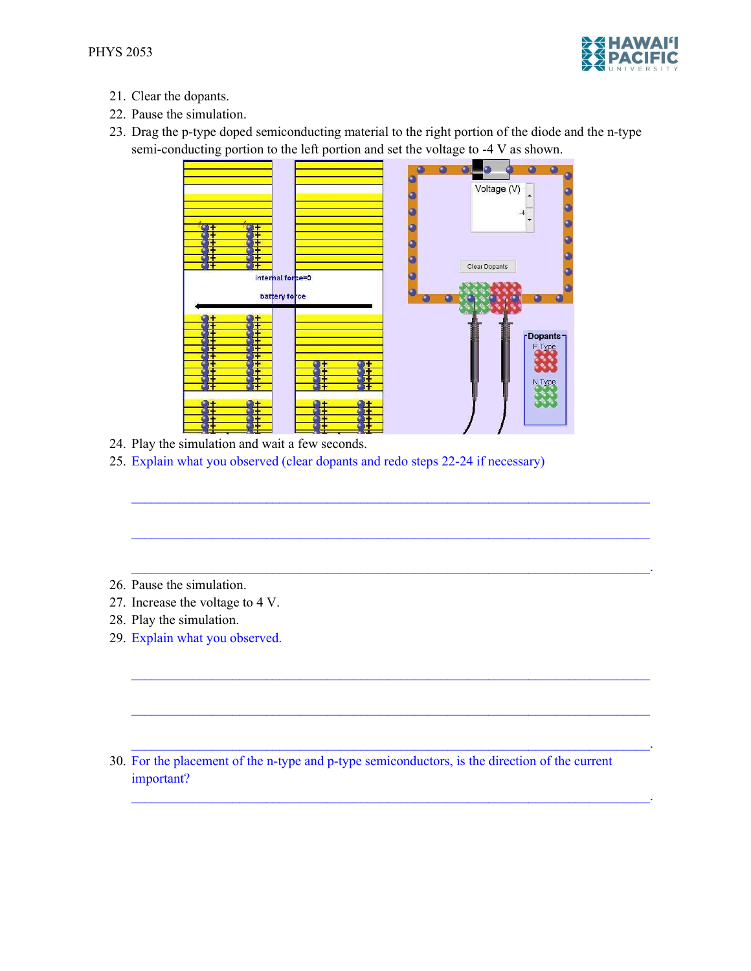

- 21. Clear the dopants.
- 22. Pause the simulation.
- 23. Drag the p-type doped semiconducting material to the right portion of the diode and the n-type semi-conducting portion to the left portion and set the voltage to -4 V as shown.



 $\mathcal{L}_\mathcal{L} = \{ \mathcal{L}_\mathcal{L} = \{ \mathcal{L}_\mathcal{L} = \{ \mathcal{L}_\mathcal{L} = \{ \mathcal{L}_\mathcal{L} = \{ \mathcal{L}_\mathcal{L} = \{ \mathcal{L}_\mathcal{L} = \{ \mathcal{L}_\mathcal{L} = \{ \mathcal{L}_\mathcal{L} = \{ \mathcal{L}_\mathcal{L} = \{ \mathcal{L}_\mathcal{L} = \{ \mathcal{L}_\mathcal{L} = \{ \mathcal{L}_\mathcal{L} = \{ \mathcal{L}_\mathcal{L} = \{ \mathcal{L}_\mathcal{$ 

 $\mathcal{L}_\mathcal{L} = \mathcal{L}_\mathcal{L} = \mathcal{L}_\mathcal{L} = \mathcal{L}_\mathcal{L} = \mathcal{L}_\mathcal{L} = \mathcal{L}_\mathcal{L} = \mathcal{L}_\mathcal{L} = \mathcal{L}_\mathcal{L} = \mathcal{L}_\mathcal{L} = \mathcal{L}_\mathcal{L} = \mathcal{L}_\mathcal{L} = \mathcal{L}_\mathcal{L} = \mathcal{L}_\mathcal{L} = \mathcal{L}_\mathcal{L} = \mathcal{L}_\mathcal{L} = \mathcal{L}_\mathcal{L} = \mathcal{L}_\mathcal{L}$ 

 $\mathcal{L}_\mathcal{L} = \mathcal{L}_\mathcal{L} = \mathcal{L}_\mathcal{L} = \mathcal{L}_\mathcal{L} = \mathcal{L}_\mathcal{L} = \mathcal{L}_\mathcal{L} = \mathcal{L}_\mathcal{L} = \mathcal{L}_\mathcal{L} = \mathcal{L}_\mathcal{L} = \mathcal{L}_\mathcal{L} = \mathcal{L}_\mathcal{L} = \mathcal{L}_\mathcal{L} = \mathcal{L}_\mathcal{L} = \mathcal{L}_\mathcal{L} = \mathcal{L}_\mathcal{L} = \mathcal{L}_\mathcal{L} = \mathcal{L}_\mathcal{L}$ 

 $\mathcal{L}_\mathcal{L} = \{ \mathcal{L}_\mathcal{L} = \{ \mathcal{L}_\mathcal{L} = \{ \mathcal{L}_\mathcal{L} = \{ \mathcal{L}_\mathcal{L} = \{ \mathcal{L}_\mathcal{L} = \{ \mathcal{L}_\mathcal{L} = \{ \mathcal{L}_\mathcal{L} = \{ \mathcal{L}_\mathcal{L} = \{ \mathcal{L}_\mathcal{L} = \{ \mathcal{L}_\mathcal{L} = \{ \mathcal{L}_\mathcal{L} = \{ \mathcal{L}_\mathcal{L} = \{ \mathcal{L}_\mathcal{L} = \{ \mathcal{L}_\mathcal{$ 

 $\mathcal{L}_\mathcal{L} = \mathcal{L}_\mathcal{L} = \mathcal{L}_\mathcal{L} = \mathcal{L}_\mathcal{L} = \mathcal{L}_\mathcal{L} = \mathcal{L}_\mathcal{L} = \mathcal{L}_\mathcal{L} = \mathcal{L}_\mathcal{L} = \mathcal{L}_\mathcal{L} = \mathcal{L}_\mathcal{L} = \mathcal{L}_\mathcal{L} = \mathcal{L}_\mathcal{L} = \mathcal{L}_\mathcal{L} = \mathcal{L}_\mathcal{L} = \mathcal{L}_\mathcal{L} = \mathcal{L}_\mathcal{L} = \mathcal{L}_\mathcal{L}$ 

 $\mathcal{L}_\mathcal{L} = \mathcal{L}_\mathcal{L} = \mathcal{L}_\mathcal{L} = \mathcal{L}_\mathcal{L} = \mathcal{L}_\mathcal{L} = \mathcal{L}_\mathcal{L} = \mathcal{L}_\mathcal{L} = \mathcal{L}_\mathcal{L} = \mathcal{L}_\mathcal{L} = \mathcal{L}_\mathcal{L} = \mathcal{L}_\mathcal{L} = \mathcal{L}_\mathcal{L} = \mathcal{L}_\mathcal{L} = \mathcal{L}_\mathcal{L} = \mathcal{L}_\mathcal{L} = \mathcal{L}_\mathcal{L} = \mathcal{L}_\mathcal{L}$ 

 $\mathcal{L}_\mathcal{L} = \mathcal{L}_\mathcal{L} = \mathcal{L}_\mathcal{L} = \mathcal{L}_\mathcal{L} = \mathcal{L}_\mathcal{L} = \mathcal{L}_\mathcal{L} = \mathcal{L}_\mathcal{L} = \mathcal{L}_\mathcal{L} = \mathcal{L}_\mathcal{L} = \mathcal{L}_\mathcal{L} = \mathcal{L}_\mathcal{L} = \mathcal{L}_\mathcal{L} = \mathcal{L}_\mathcal{L} = \mathcal{L}_\mathcal{L} = \mathcal{L}_\mathcal{L} = \mathcal{L}_\mathcal{L} = \mathcal{L}_\mathcal{L}$ 

24. Play the simulation and wait a few seconds.

25. Explain what you observed (clear dopants and redo steps 22-24 if necessary)

- 26. Pause the simulation.
- 27. Increase the voltage to 4 V.
- 28. Play the simulation.
- 29. Explain what you observed.

30. For the placement of the n-type and p-type semiconductors, is the direction of the current important?